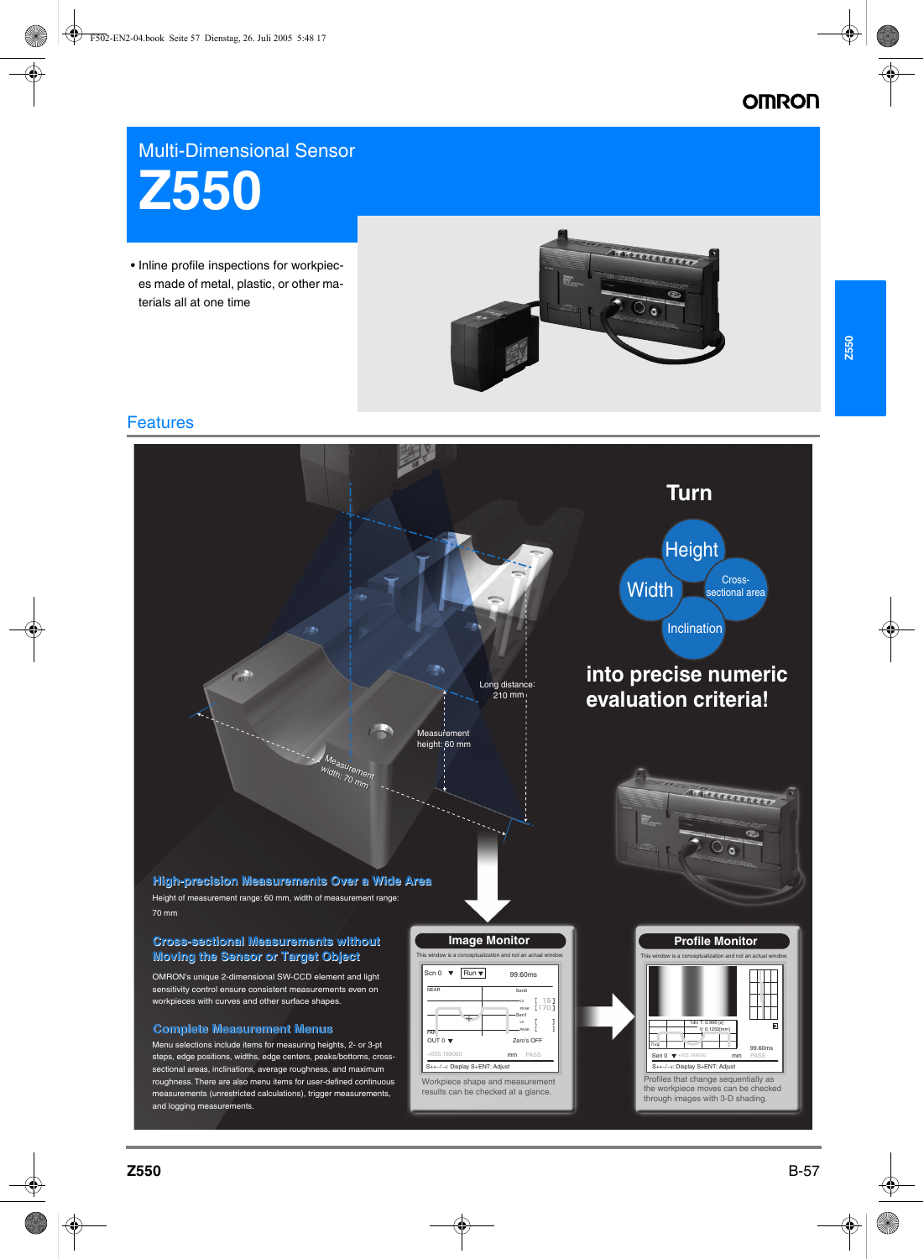# **OMRON**

## Multi-Dimensional Sensor



• Inline profile inspections for workpieces made of metal, plastic, or other materials all at one time



### Features

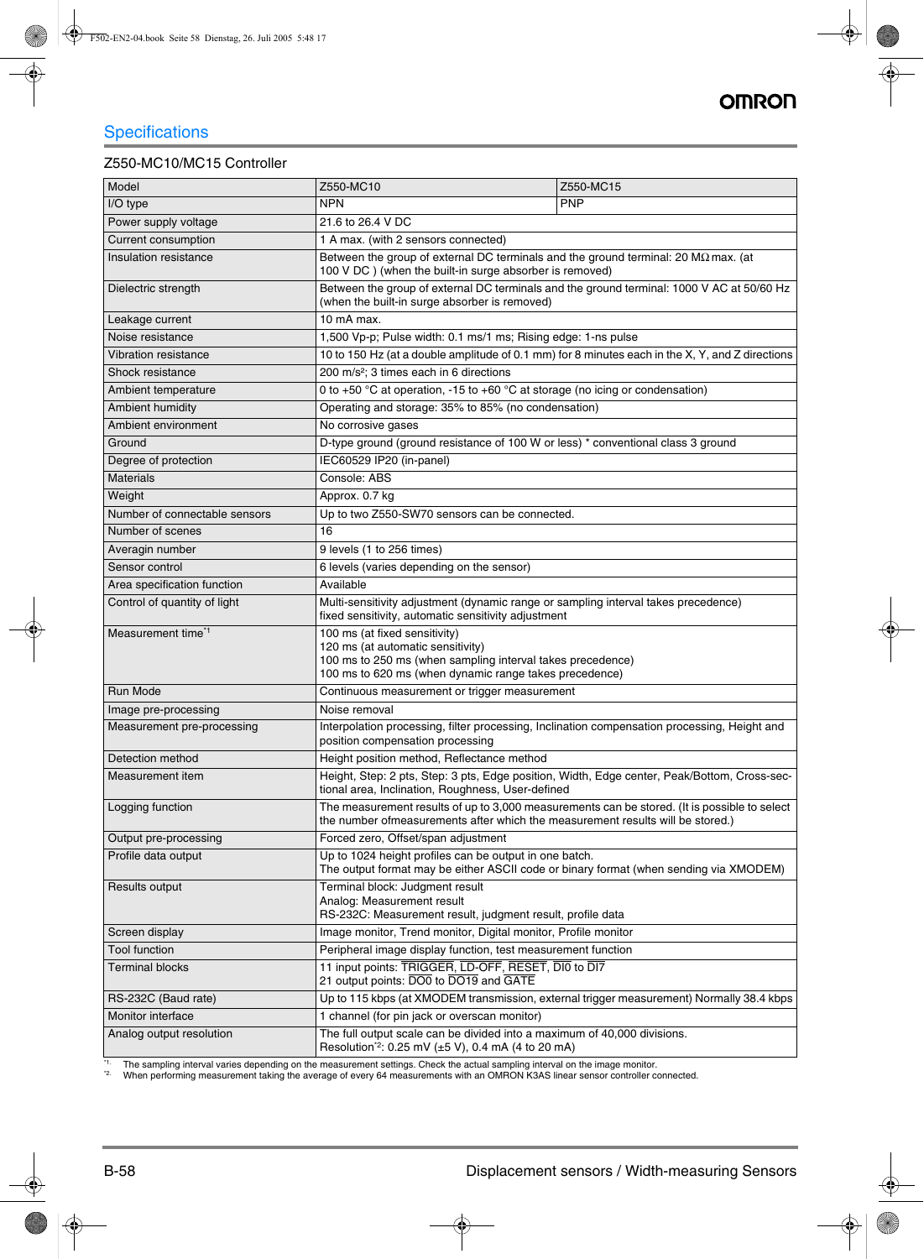#### Z550-MC10/MC15 Controller

| Model                         | Z550-MC10                                                                                                                                                                                  | Z550-MC15                                                                                    |
|-------------------------------|--------------------------------------------------------------------------------------------------------------------------------------------------------------------------------------------|----------------------------------------------------------------------------------------------|
| I/O type                      | <b>NPN</b>                                                                                                                                                                                 | <b>PNP</b>                                                                                   |
| Power supply voltage          | 21.6 to 26.4 V DC                                                                                                                                                                          |                                                                                              |
| Current consumption           | 1 A max. (with 2 sensors connected)                                                                                                                                                        |                                                                                              |
| Insulation resistance         | Between the group of external DC terminals and the ground terminal: 20 M $\Omega$ max. (at<br>100 V DC ) (when the built-in surge absorber is removed)                                     |                                                                                              |
| Dielectric strength           | Between the group of external DC terminals and the ground terminal: 1000 V AC at 50/60 Hz<br>(when the built-in surge absorber is removed)                                                 |                                                                                              |
| Leakage current               | 10 mA max.                                                                                                                                                                                 |                                                                                              |
| Noise resistance              | 1,500 Vp-p; Pulse width: 0.1 ms/1 ms; Rising edge: 1-ns pulse                                                                                                                              |                                                                                              |
| <b>Vibration resistance</b>   | 10 to 150 Hz (at a double amplitude of 0.1 mm) for 8 minutes each in the X, Y, and Z directions                                                                                            |                                                                                              |
| Shock resistance              | 200 m/s <sup>2</sup> ; 3 times each in 6 directions                                                                                                                                        |                                                                                              |
| Ambient temperature           | 0 to +50 °C at operation, -15 to +60 °C at storage (no icing or condensation)                                                                                                              |                                                                                              |
| Ambient humidity              | Operating and storage: 35% to 85% (no condensation)                                                                                                                                        |                                                                                              |
| Ambient environment           | No corrosive gases                                                                                                                                                                         |                                                                                              |
| Ground                        | D-type ground (ground resistance of 100 W or less) * conventional class 3 ground                                                                                                           |                                                                                              |
| Degree of protection          | IEC60529 IP20 (in-panel)                                                                                                                                                                   |                                                                                              |
| <b>Materials</b>              | Console: ABS                                                                                                                                                                               |                                                                                              |
| Weight                        | Approx. 0.7 kg                                                                                                                                                                             |                                                                                              |
| Number of connectable sensors | Up to two Z550-SW70 sensors can be connected.                                                                                                                                              |                                                                                              |
| Number of scenes              | 16                                                                                                                                                                                         |                                                                                              |
| Averagin number               | 9 levels (1 to 256 times)                                                                                                                                                                  |                                                                                              |
| Sensor control                | 6 levels (varies depending on the sensor)                                                                                                                                                  |                                                                                              |
| Area specification function   | Available                                                                                                                                                                                  |                                                                                              |
| Control of quantity of light  | Multi-sensitivity adjustment (dynamic range or sampling interval takes precedence)<br>fixed sensitivity, automatic sensitivity adjustment                                                  |                                                                                              |
| Measurement time*1            | 100 ms (at fixed sensitivity)<br>120 ms (at automatic sensitivity)<br>100 ms to 250 ms (when sampling interval takes precedence)<br>100 ms to 620 ms (when dynamic range takes precedence) |                                                                                              |
| Run Mode                      | Continuous measurement or trigger measurement                                                                                                                                              |                                                                                              |
| Image pre-processing          | Noise removal                                                                                                                                                                              |                                                                                              |
| Measurement pre-processing    | Interpolation processing, filter processing, Inclination compensation processing, Height and<br>position compensation processing                                                           |                                                                                              |
| Detection method              | Height position method, Reflectance method                                                                                                                                                 |                                                                                              |
| Measurement item              | tional area, Inclination, Roughness, User-defined                                                                                                                                          | Height, Step: 2 pts, Step: 3 pts, Edge position, Width, Edge center, Peak/Bottom, Cross-sec- |
| Logging function              | the number ofmeasurements after which the measurement results will be stored.)                                                                                                             | The measurement results of up to 3,000 measurements can be stored. (It is possible to select |
| Output pre-processing         | Forced zero, Offset/span adjustment                                                                                                                                                        |                                                                                              |
| Profile data output           | Up to 1024 height profiles can be output in one batch.<br>The output format may be either ASCII code or binary format (when sending via XMODEM)                                            |                                                                                              |
| Results output                | Terminal block: Judgment result<br>Analog: Measurement result<br>RS-232C: Measurement result, judgment result, profile data                                                                |                                                                                              |
| Screen display                | Image monitor, Trend monitor, Digital monitor, Profile monitor                                                                                                                             |                                                                                              |
| <b>Tool function</b>          | Peripheral image display function, test measurement function                                                                                                                               |                                                                                              |
| <b>Terminal blocks</b>        | 11 input points: TRIGGER, LD-OFF, RESET, DIO to DI7<br>21 output points: DO0 to DO19 and GATE                                                                                              |                                                                                              |
| RS-232C (Baud rate)           | Up to 115 kbps (at XMODEM transmission, external trigger measurement) Normally 38.4 kbps                                                                                                   |                                                                                              |
| Monitor interface             | 1 channel (for pin jack or overscan monitor)                                                                                                                                               |                                                                                              |
| Analog output resolution      | The full output scale can be divided into a maximum of 40,000 divisions.<br>Resolution <sup>*2</sup> : 0.25 mV (±5 V), 0.4 mA (4 to 20 mA)                                                 |                                                                                              |

\*1. The sampling interval varies depending on the measurement settings. Check the actual sampling interval on the image monitor.

<sup>\*2.</sup> When performing measurement taking the average of every 64 measurements with an OMRON K3AS linear sensor controller connected.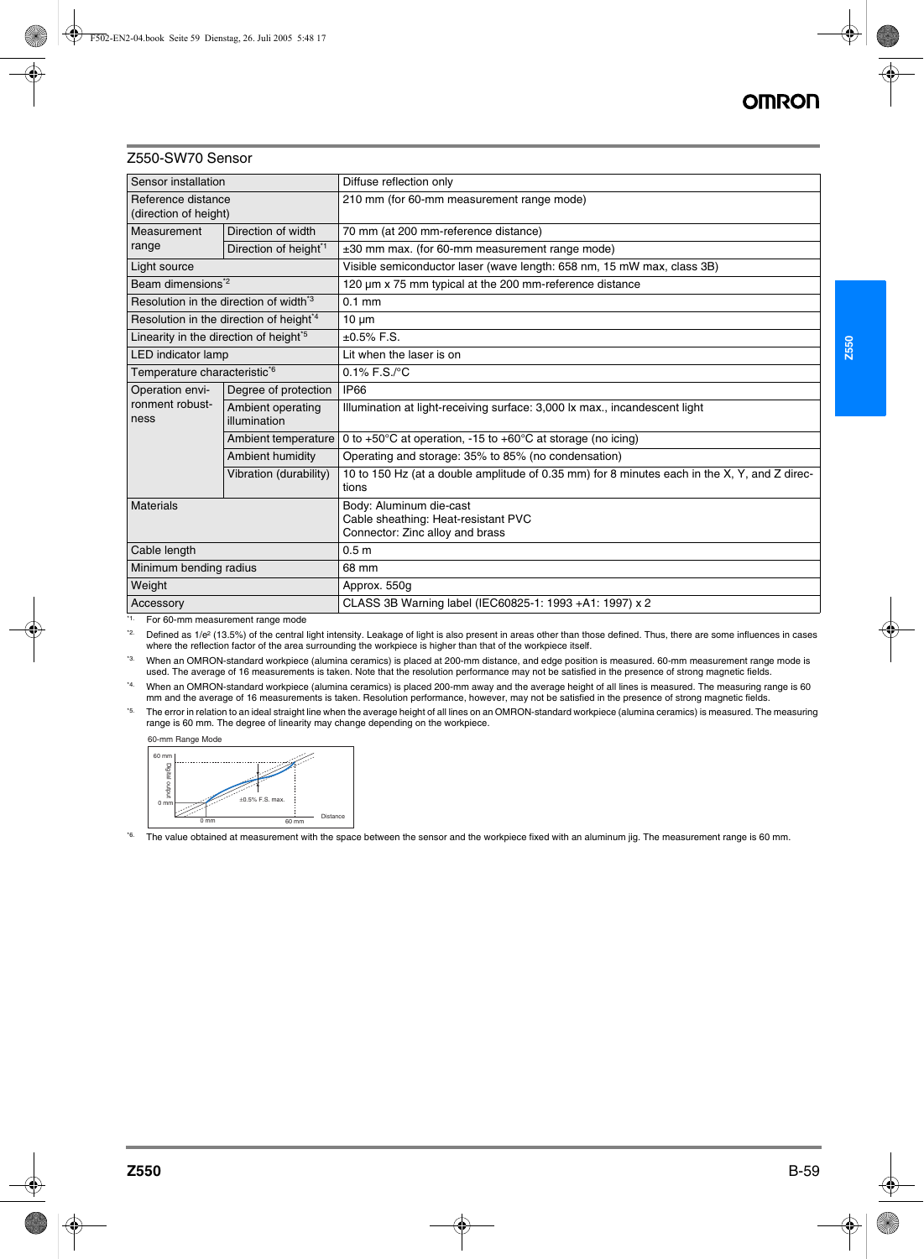#### Z550-SW70 Sensor

| Sensor installation                                 |                                   | Diffuse reflection only                                                                               |  |
|-----------------------------------------------------|-----------------------------------|-------------------------------------------------------------------------------------------------------|--|
| Reference distance<br>(direction of height)         |                                   | 210 mm (for 60-mm measurement range mode)                                                             |  |
| Measurement<br>range                                | Direction of width                | 70 mm (at 200 mm-reference distance)                                                                  |  |
|                                                     | Direction of height <sup>*1</sup> | ±30 mm max. (for 60-mm measurement range mode)                                                        |  |
| Light source                                        |                                   | Visible semiconductor laser (wave length: 658 nm, 15 mW max, class 3B)                                |  |
| Beam dimensions <sup>*2</sup>                       |                                   | 120 µm x 75 mm typical at the 200 mm-reference distance                                               |  |
| Resolution in the direction of width <sup>3</sup>   |                                   | $0.1$ mm                                                                                              |  |
| Resolution in the direction of height <sup>*4</sup> |                                   | $10 \mu m$                                                                                            |  |
| Linearity in the direction of height <sup>5</sup>   |                                   | $±0.5\%$ F.S.                                                                                         |  |
| LED indicator lamp                                  |                                   | Lit when the laser is on                                                                              |  |
| Temperature characteristic*6                        |                                   | $0.1\%$ F.S./ $°C$                                                                                    |  |
| Operation envi-<br>ronment robust-<br>ness          | Degree of protection              | <b>IP66</b>                                                                                           |  |
|                                                     | Ambient operating<br>illumination | Illumination at light-receiving surface: 3,000 lx max., incandescent light                            |  |
|                                                     | Ambient temperature               | 0 to +50 $^{\circ}$ C at operation, -15 to +60 $^{\circ}$ C at storage (no icing)                     |  |
|                                                     | Ambient humidity                  | Operating and storage: 35% to 85% (no condensation)                                                   |  |
|                                                     | Vibration (durability)            | 10 to 150 Hz (at a double amplitude of 0.35 mm) for 8 minutes each in the X, Y, and Z direc-<br>tions |  |
| Materials                                           |                                   | Body: Aluminum die-cast<br>Cable sheathing: Heat-resistant PVC<br>Connector: Zinc alloy and brass     |  |
| Cable length                                        |                                   | 0.5 <sub>m</sub>                                                                                      |  |
| Minimum bending radius                              |                                   | 68 mm                                                                                                 |  |
| Weight                                              |                                   | Approx. 550g                                                                                          |  |
| Accessory                                           |                                   | CLASS 3B Warning label (IEC60825-1: 1993 +A1: 1997) x 2                                               |  |

\*1. For 60-mm measurement range mode

<sup>22</sup> Defined as 1/e<sup>2</sup> (13.5%) of the central light intensity. Leakage of light is also present in areas other than those defined. Thus, there are some influences in cases where the reflection factor of the area surrounding the workpiece is higher than that of the workpiece itself.

<sup>\*3.</sup> When an OMRON-standard workpiece (alumina ceramics) is placed at 200-mm distance, and edge position is measured. 60-mm measurement range mode is used. The average of 16 measurements is taken. Note that the resolution performance may not be satisfied in the presence of strong magnetic fields.

<sup>\*4.</sup> When an OMRON-standard workpiece (alumina ceramics) is placed 200-mm away and the average height of all lines is measured. The measuring range is 60 mm and the average of 16 measurements is taken. Resolution performance, however, may not be satisfied in the presence of strong magnetic fields.

<sup>\*5.</sup> The error in relation to an ideal straight line when the average height of all lines on an OMRON-standard workpiece (alumina ceramics) is measured. The measuring range is 60 mm. The degree of linearity may change depending on the workpiece.





<sup>\*6.</sup> The value obtained at measurement with the space between the sensor and the workpiece fixed with an aluminum jig. The measurement range is 60 mm.